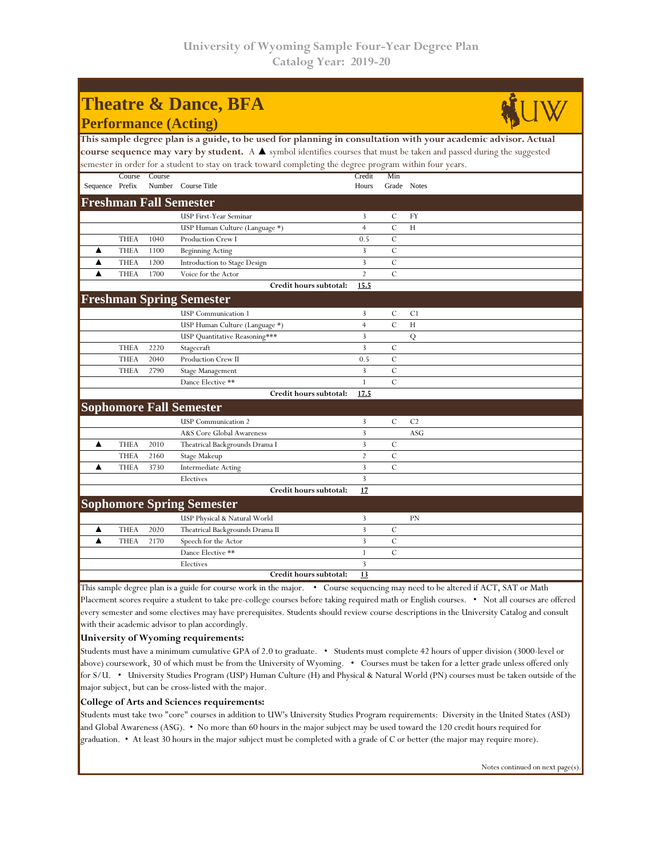| <b>Theatre &amp; Dance, BFA</b>                                                                                       |             |        |                                  |                |                |                |  |  |  |  |  |  |
|-----------------------------------------------------------------------------------------------------------------------|-------------|--------|----------------------------------|----------------|----------------|----------------|--|--|--|--|--|--|
| <b>Performance (Acting)</b>                                                                                           |             |        |                                  |                |                |                |  |  |  |  |  |  |
| This sample degree plan is a guide, to be used for planning in consultation with your academic advisor. Actual        |             |        |                                  |                |                |                |  |  |  |  |  |  |
| course sequence may vary by student. A ▲ symbol identifies courses that must be taken and passed during the suggested |             |        |                                  |                |                |                |  |  |  |  |  |  |
| semester in order for a student to stay on track toward completing the degree program within four years.              |             |        |                                  |                |                |                |  |  |  |  |  |  |
|                                                                                                                       | Course      | Course |                                  | Credit         | Min            |                |  |  |  |  |  |  |
| Sequence Prefix                                                                                                       |             |        | Number Course Title              | Hours          | Grade Notes    |                |  |  |  |  |  |  |
| Freshman Fall Semester                                                                                                |             |        |                                  |                |                |                |  |  |  |  |  |  |
|                                                                                                                       |             |        | USP First-Year Seminar           | 3              | $\mathcal{C}$  | FY             |  |  |  |  |  |  |
|                                                                                                                       |             |        | USP Human Culture (Language *)   | $\overline{4}$ | $\overline{C}$ | H              |  |  |  |  |  |  |
|                                                                                                                       | <b>THEA</b> | 1040   | Production Crew I                | 0.5            | $\overline{C}$ |                |  |  |  |  |  |  |
| A                                                                                                                     | <b>THEA</b> | 1100   | <b>Beginning Acting</b>          | 3              | $\mathcal{C}$  |                |  |  |  |  |  |  |
| ▲                                                                                                                     | <b>THEA</b> | 1200   | Introduction to Stage Design     | 3              | $\mathcal{C}$  |                |  |  |  |  |  |  |
| ▲                                                                                                                     | <b>THEA</b> | 1700   | Voice for the Actor              | $\overline{2}$ | $\mathcal{C}$  |                |  |  |  |  |  |  |
|                                                                                                                       |             |        | Credit hours subtotal:           | 15.5           |                |                |  |  |  |  |  |  |
|                                                                                                                       |             |        | <b>Freshman Spring Semester</b>  |                |                |                |  |  |  |  |  |  |
|                                                                                                                       |             |        | <b>USP</b> Communication 1       | 3              | $\mathcal{C}$  | C1             |  |  |  |  |  |  |
|                                                                                                                       |             |        | USP Human Culture (Language *)   | $\overline{4}$ | $\mathcal{C}$  | Н              |  |  |  |  |  |  |
|                                                                                                                       |             |        | USP Quantitative Reasoning***    | 3              |                | Q              |  |  |  |  |  |  |
|                                                                                                                       | <b>THEA</b> | 2220   | Stagecraft                       | $\overline{3}$ | $\mathcal{C}$  |                |  |  |  |  |  |  |
|                                                                                                                       | <b>THEA</b> | 2040   | Production Crew II               | 0.5            | $\mathcal{C}$  |                |  |  |  |  |  |  |
|                                                                                                                       | <b>THEA</b> | 2790   | Stage Management                 | 3              | $\mathcal{C}$  |                |  |  |  |  |  |  |
|                                                                                                                       |             |        | Dance Elective **                | $\mathbf{1}$   | $\overline{C}$ |                |  |  |  |  |  |  |
|                                                                                                                       |             |        | Credit hours subtotal:           | 17.5           |                |                |  |  |  |  |  |  |
|                                                                                                                       |             |        | <b>Sophomore Fall Semester</b>   |                |                |                |  |  |  |  |  |  |
|                                                                                                                       |             |        | <b>USP</b> Communication 2       | 3              | C              | C <sub>2</sub> |  |  |  |  |  |  |
|                                                                                                                       |             |        | A&S Core Global Awareness        | 3              |                | ASG            |  |  |  |  |  |  |
| ▲                                                                                                                     | <b>THEA</b> | 2010   | Theatrical Backgrounds Drama I   | 3              | C              |                |  |  |  |  |  |  |
|                                                                                                                       | <b>THEA</b> | 2160   | Stage Makeup                     | $\overline{2}$ | $\mathcal{C}$  |                |  |  |  |  |  |  |
|                                                                                                                       | <b>THEA</b> | 3730   | <b>Intermediate Acting</b>       | 3              | $\overline{C}$ |                |  |  |  |  |  |  |
|                                                                                                                       |             |        | Electives                        | 3              |                |                |  |  |  |  |  |  |
|                                                                                                                       |             |        | Credit hours subtotal:           | 17             |                |                |  |  |  |  |  |  |
|                                                                                                                       |             |        | <b>Sophomore Spring Semester</b> |                |                |                |  |  |  |  |  |  |
|                                                                                                                       |             |        | USP Physical & Natural World     | 3              |                | PN             |  |  |  |  |  |  |
| ▲                                                                                                                     | <b>THEA</b> | 2020   | Theatrical Backgrounds Drama II  | 3              | $\mathcal{C}$  |                |  |  |  |  |  |  |
| ▲                                                                                                                     | <b>THEA</b> | 2170   | Speech for the Actor             | 3              | $\overline{C}$ |                |  |  |  |  |  |  |
|                                                                                                                       |             |        | Dance Elective **                | $\mathbf{1}$   | $\overline{C}$ |                |  |  |  |  |  |  |
|                                                                                                                       |             |        | Electives                        | 3              |                |                |  |  |  |  |  |  |
| Credit hours subtotal:<br>13                                                                                          |             |        |                                  |                |                |                |  |  |  |  |  |  |

This sample degree plan is a guide for course work in the major. • Course sequencing may need to be altered if ACT, SAT or Math Placement scores require a student to take pre-college courses before taking required math or English courses. • Not all courses are offered every semester and some electives may have prerequisites. Students should review course descriptions in the University Catalog and consult with their academic advisor to plan accordingly.

## **University of Wyoming requirements:**

Students must have a minimum cumulative GPA of 2.0 to graduate. • Students must complete 42 hours of upper division (3000-level or above) coursework, 30 of which must be from the University of Wyoming. • Courses must be taken for a letter grade unless offered only for S/U. • University Studies Program (USP) Human Culture (H) and Physical & Natural World (PN) courses must be taken outside of the major subject, but can be cross-listed with the major.

## **College of Arts and Sciences requirements:**

Students must take two "core" courses in addition to UW's University Studies Program requirements: Diversity in the United States (ASD) and Global Awareness (ASG). • No more than 60 hours in the major subject may be used toward the 120 credit hours required for graduation. • At least 30 hours in the major subject must be completed with a grade of C or better (the major may require more).